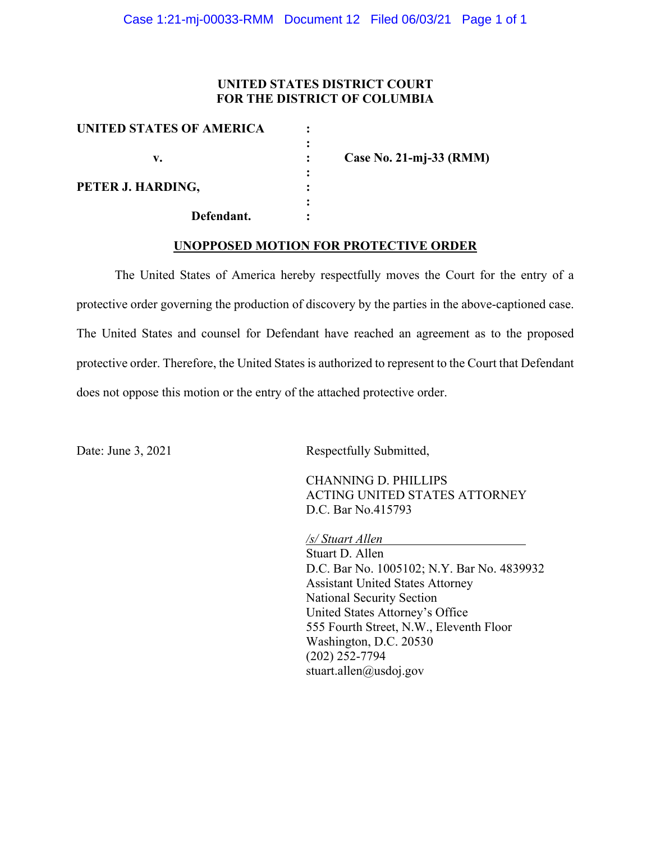### **UNITED STATES DISTRICT COURT FOR THE DISTRICT OF COLUMBIA**

| UNITED STATES OF AMERICA |                         |
|--------------------------|-------------------------|
|                          |                         |
| v.                       | Case No. 21-mj-33 (RMM) |
|                          |                         |
| PETER J. HARDING,        |                         |
|                          |                         |
| Defendant.               |                         |

#### **UNOPPOSED MOTION FOR PROTECTIVE ORDER**

The United States of America hereby respectfully moves the Court for the entry of a protective order governing the production of discovery by the parties in the above-captioned case. The United States and counsel for Defendant have reached an agreement as to the proposed protective order. Therefore, the United States is authorized to represent to the Court that Defendant does not oppose this motion or the entry of the attached protective order.

Date: June 3, 2021 Respectfully Submitted,

CHANNING D. PHILLIPS ACTING UNITED STATES ATTORNEY D.C. Bar No.415793

*/s/ Stuart Allen* 

Stuart D. Allen D.C. Bar No. 1005102; N.Y. Bar No. 4839932 Assistant United States Attorney National Security Section United States Attorney's Office 555 Fourth Street, N.W., Eleventh Floor Washington, D.C. 20530 (202) 252-7794 stuart.allen@usdoj.gov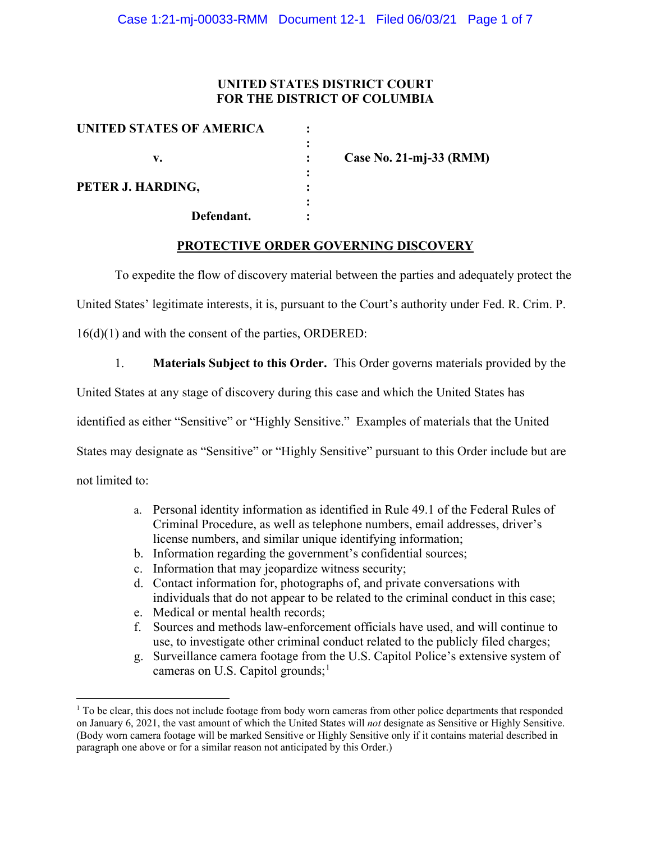## **UNITED STATES DISTRICT COURT FOR THE DISTRICT OF COLUMBIA**

| UNITED STATES OF AMERICA |                         |
|--------------------------|-------------------------|
|                          |                         |
| v.                       | Case No. 21-mj-33 (RMM) |
|                          |                         |
| PETER J. HARDING,        |                         |
|                          |                         |
| Defendant.               |                         |

### **PROTECTIVE ORDER GOVERNING DISCOVERY**

To expedite the flow of discovery material between the parties and adequately protect the

United States' legitimate interests, it is, pursuant to the Court's authority under Fed. R. Crim. P.

16(d)(1) and with the consent of the parties, ORDERED:

1. **Materials Subject to this Order.** This Order governs materials provided by the

United States at any stage of discovery during this case and which the United States has

identified as either "Sensitive" or "Highly Sensitive." Examples of materials that the United

States may designate as "Sensitive" or "Highly Sensitive" pursuant to this Order include but are

not limited to:

- a. Personal identity information as identified in Rule 49.1 of the Federal Rules of Criminal Procedure, as well as telephone numbers, email addresses, driver's license numbers, and similar unique identifying information;
- b. Information regarding the government's confidential sources;
- c. Information that may jeopardize witness security;
- d. Contact information for, photographs of, and private conversations with individuals that do not appear to be related to the criminal conduct in this case;
- e. Medical or mental health records;
- f. Sources and methods law-enforcement officials have used, and will continue to use, to investigate other criminal conduct related to the publicly filed charges;
- g. Surveillance camera footage from the U.S. Capitol Police's extensive system of cameras on U.S. Capitol grounds; $<sup>1</sup>$ </sup>

 $1$  To be clear, this does not include footage from body worn cameras from other police departments that responded on January 6, 2021, the vast amount of which the United States will *not* designate as Sensitive or Highly Sensitive. (Body worn camera footage will be marked Sensitive or Highly Sensitive only if it contains material described in paragraph one above or for a similar reason not anticipated by this Order.)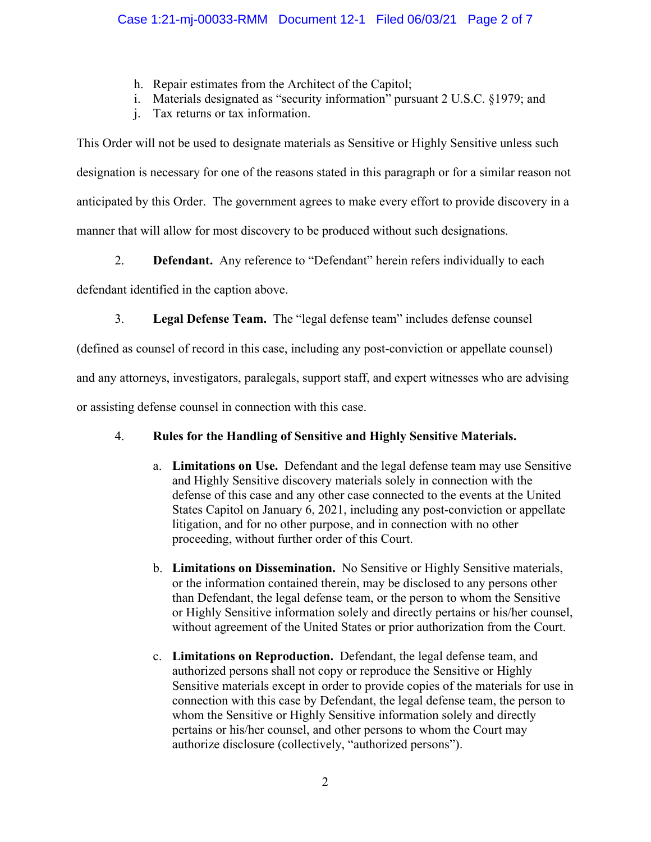- h. Repair estimates from the Architect of the Capitol;
- i. Materials designated as "security information" pursuant 2 U.S.C. §1979; and
- j. Tax returns or tax information.

This Order will not be used to designate materials as Sensitive or Highly Sensitive unless such designation is necessary for one of the reasons stated in this paragraph or for a similar reason not anticipated by this Order. The government agrees to make every effort to provide discovery in a manner that will allow for most discovery to be produced without such designations.

2. **Defendant.** Any reference to "Defendant" herein refers individually to each

defendant identified in the caption above.

3. **Legal Defense Team.** The "legal defense team" includes defense counsel

(defined as counsel of record in this case, including any post-conviction or appellate counsel)

and any attorneys, investigators, paralegals, support staff, and expert witnesses who are advising

or assisting defense counsel in connection with this case.

# 4. **Rules for the Handling of Sensitive and Highly Sensitive Materials.**

- a. **Limitations on Use.** Defendant and the legal defense team may use Sensitive and Highly Sensitive discovery materials solely in connection with the defense of this case and any other case connected to the events at the United States Capitol on January 6, 2021, including any post-conviction or appellate litigation, and for no other purpose, and in connection with no other proceeding, without further order of this Court.
- b. **Limitations on Dissemination.** No Sensitive or Highly Sensitive materials, or the information contained therein, may be disclosed to any persons other than Defendant, the legal defense team, or the person to whom the Sensitive or Highly Sensitive information solely and directly pertains or his/her counsel, without agreement of the United States or prior authorization from the Court.
- c. **Limitations on Reproduction.** Defendant, the legal defense team, and authorized persons shall not copy or reproduce the Sensitive or Highly Sensitive materials except in order to provide copies of the materials for use in connection with this case by Defendant, the legal defense team, the person to whom the Sensitive or Highly Sensitive information solely and directly pertains or his/her counsel, and other persons to whom the Court may authorize disclosure (collectively, "authorized persons").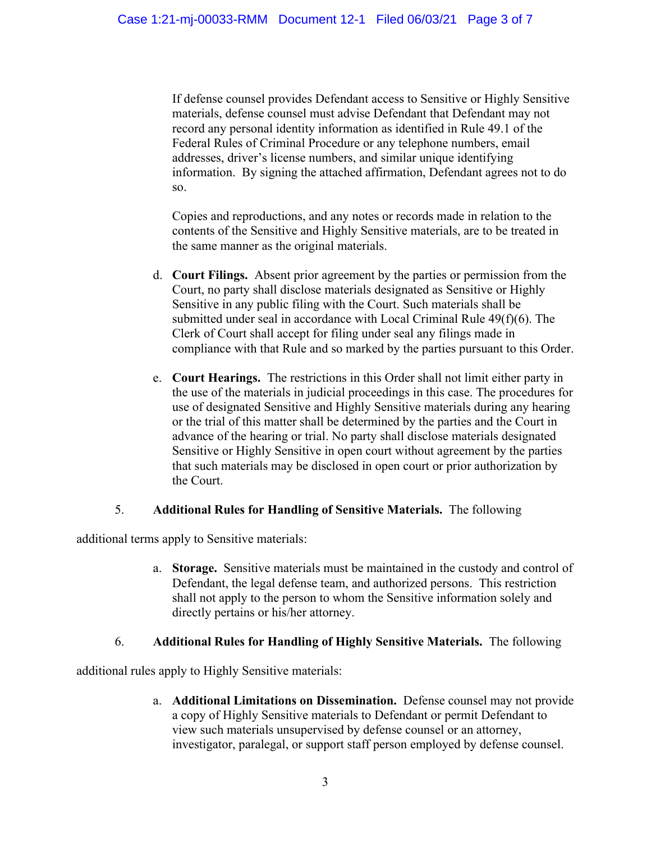If defense counsel provides Defendant access to Sensitive or Highly Sensitive materials, defense counsel must advise Defendant that Defendant may not record any personal identity information as identified in Rule 49.1 of the Federal Rules of Criminal Procedure or any telephone numbers, email addresses, driver's license numbers, and similar unique identifying information. By signing the attached affirmation, Defendant agrees not to do so.

Copies and reproductions, and any notes or records made in relation to the contents of the Sensitive and Highly Sensitive materials, are to be treated in the same manner as the original materials.

- d. **Court Filings.** Absent prior agreement by the parties or permission from the Court, no party shall disclose materials designated as Sensitive or Highly Sensitive in any public filing with the Court. Such materials shall be submitted under seal in accordance with Local Criminal Rule 49(f)(6). The Clerk of Court shall accept for filing under seal any filings made in compliance with that Rule and so marked by the parties pursuant to this Order.
- e. **Court Hearings.** The restrictions in this Order shall not limit either party in the use of the materials in judicial proceedings in this case. The procedures for use of designated Sensitive and Highly Sensitive materials during any hearing or the trial of this matter shall be determined by the parties and the Court in advance of the hearing or trial. No party shall disclose materials designated Sensitive or Highly Sensitive in open court without agreement by the parties that such materials may be disclosed in open court or prior authorization by the Court.

### 5. **Additional Rules for Handling of Sensitive Materials.** The following

additional terms apply to Sensitive materials:

a. **Storage.** Sensitive materials must be maintained in the custody and control of Defendant, the legal defense team, and authorized persons. This restriction shall not apply to the person to whom the Sensitive information solely and directly pertains or his/her attorney.

### 6. **Additional Rules for Handling of Highly Sensitive Materials.** The following

additional rules apply to Highly Sensitive materials:

a. **Additional Limitations on Dissemination.** Defense counsel may not provide a copy of Highly Sensitive materials to Defendant or permit Defendant to view such materials unsupervised by defense counsel or an attorney, investigator, paralegal, or support staff person employed by defense counsel.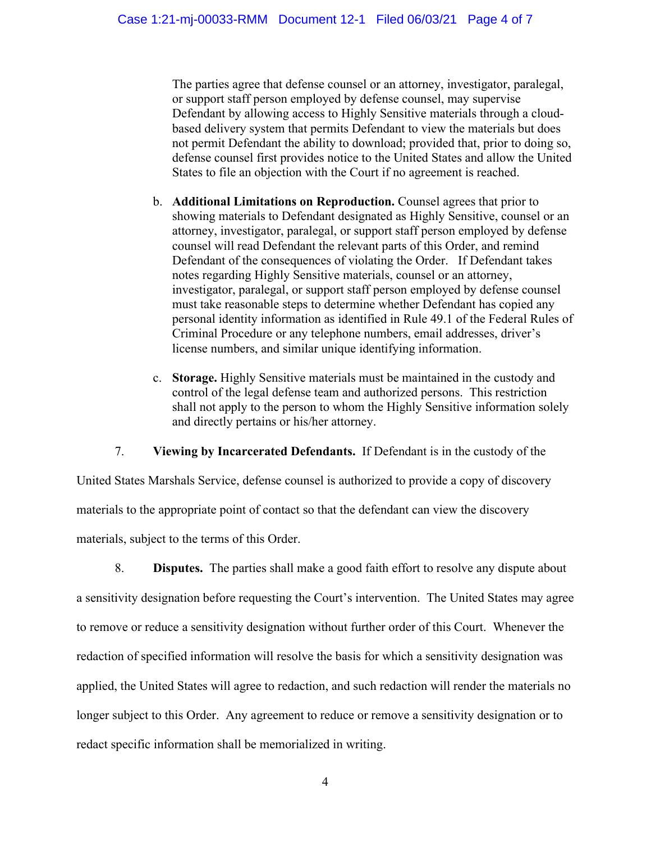The parties agree that defense counsel or an attorney, investigator, paralegal, or support staff person employed by defense counsel, may supervise Defendant by allowing access to Highly Sensitive materials through a cloudbased delivery system that permits Defendant to view the materials but does not permit Defendant the ability to download; provided that, prior to doing so, defense counsel first provides notice to the United States and allow the United States to file an objection with the Court if no agreement is reached.

- b. **Additional Limitations on Reproduction.** Counsel agrees that prior to showing materials to Defendant designated as Highly Sensitive, counsel or an attorney, investigator, paralegal, or support staff person employed by defense counsel will read Defendant the relevant parts of this Order, and remind Defendant of the consequences of violating the Order. If Defendant takes notes regarding Highly Sensitive materials, counsel or an attorney, investigator, paralegal, or support staff person employed by defense counsel must take reasonable steps to determine whether Defendant has copied any personal identity information as identified in Rule 49.1 of the Federal Rules of Criminal Procedure or any telephone numbers, email addresses, driver's license numbers, and similar unique identifying information.
- c. **Storage.** Highly Sensitive materials must be maintained in the custody and control of the legal defense team and authorized persons. This restriction shall not apply to the person to whom the Highly Sensitive information solely and directly pertains or his/her attorney.

7. **Viewing by Incarcerated Defendants.** If Defendant is in the custody of the

United States Marshals Service, defense counsel is authorized to provide a copy of discovery materials to the appropriate point of contact so that the defendant can view the discovery materials, subject to the terms of this Order.

8. **Disputes.** The parties shall make a good faith effort to resolve any dispute about a sensitivity designation before requesting the Court's intervention. The United States may agree to remove or reduce a sensitivity designation without further order of this Court. Whenever the redaction of specified information will resolve the basis for which a sensitivity designation was applied, the United States will agree to redaction, and such redaction will render the materials no longer subject to this Order. Any agreement to reduce or remove a sensitivity designation or to redact specific information shall be memorialized in writing.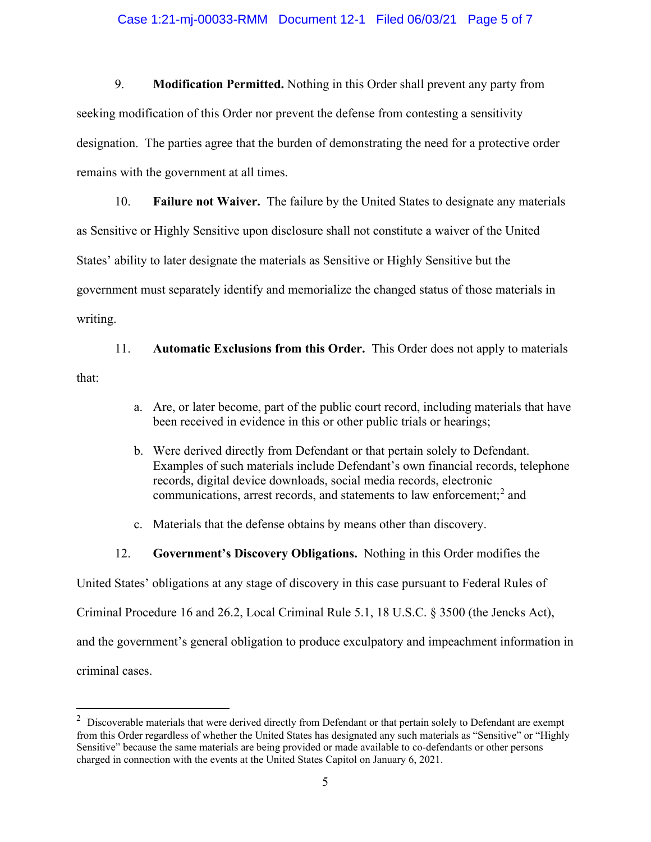#### Case 1:21-mj-00033-RMM Document 12-1 Filed 06/03/21 Page 5 of 7

9. **Modification Permitted.** Nothing in this Order shall prevent any party from seeking modification of this Order nor prevent the defense from contesting a sensitivity designation. The parties agree that the burden of demonstrating the need for a protective order remains with the government at all times.

10. **Failure not Waiver.** The failure by the United States to designate any materials as Sensitive or Highly Sensitive upon disclosure shall not constitute a waiver of the United States' ability to later designate the materials as Sensitive or Highly Sensitive but the government must separately identify and memorialize the changed status of those materials in writing.

11. **Automatic Exclusions from this Order.** This Order does not apply to materials that:

- a. Are, or later become, part of the public court record, including materials that have been received in evidence in this or other public trials or hearings;
- b. Were derived directly from Defendant or that pertain solely to Defendant. Examples of such materials include Defendant's own financial records, telephone records, digital device downloads, social media records, electronic communications, arrest records, and statements to law enforcement; <sup>2</sup> and
- c. Materials that the defense obtains by means other than discovery.
- 12. **Government's Discovery Obligations.** Nothing in this Order modifies the

United States' obligations at any stage of discovery in this case pursuant to Federal Rules of

Criminal Procedure 16 and 26.2, Local Criminal Rule 5.1, 18 U.S.C. § 3500 (the Jencks Act),

and the government's general obligation to produce exculpatory and impeachment information in

criminal cases.

 $2$  Discoverable materials that were derived directly from Defendant or that pertain solely to Defendant are exempt from this Order regardless of whether the United States has designated any such materials as "Sensitive" or "Highly Sensitive" because the same materials are being provided or made available to co-defendants or other persons charged in connection with the events at the United States Capitol on January 6, 2021.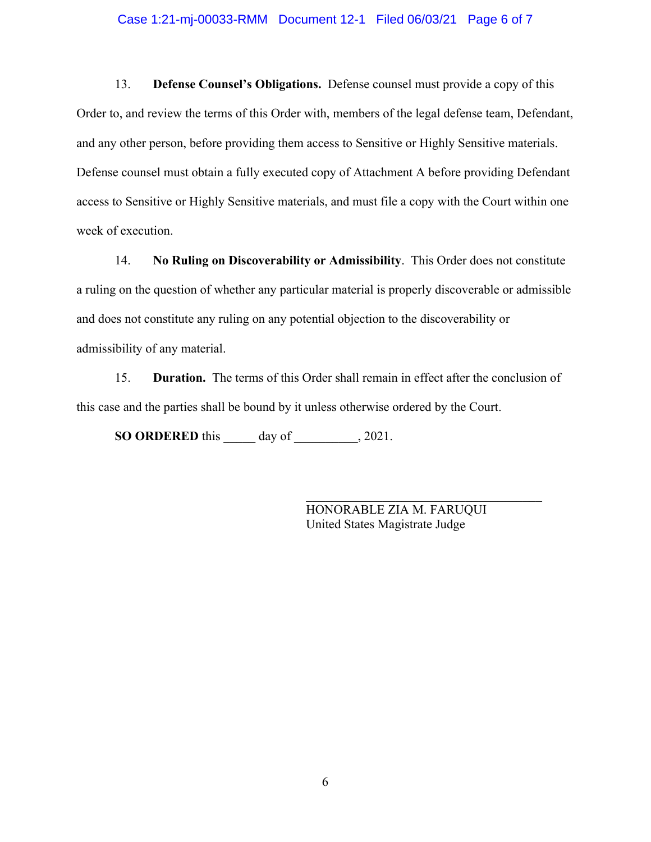#### Case 1:21-mj-00033-RMM Document 12-1 Filed 06/03/21 Page 6 of 7

13. **Defense Counsel's Obligations.** Defense counsel must provide a copy of this Order to, and review the terms of this Order with, members of the legal defense team, Defendant, and any other person, before providing them access to Sensitive or Highly Sensitive materials. Defense counsel must obtain a fully executed copy of Attachment A before providing Defendant access to Sensitive or Highly Sensitive materials, and must file a copy with the Court within one week of execution.

14. **No Ruling on Discoverability or Admissibility**. This Order does not constitute a ruling on the question of whether any particular material is properly discoverable or admissible and does not constitute any ruling on any potential objection to the discoverability or admissibility of any material.

15. **Duration.** The terms of this Order shall remain in effect after the conclusion of this case and the parties shall be bound by it unless otherwise ordered by the Court.

**SO ORDERED** this \_\_\_\_\_ day of \_\_\_\_\_\_\_\_\_\_, 2021.

HONORABLE ZIA M. FARUQUI United States Magistrate Judge

\_\_\_\_\_\_\_\_\_\_\_\_\_\_\_\_\_\_\_\_\_\_\_\_\_\_\_\_\_\_\_\_\_\_\_\_\_